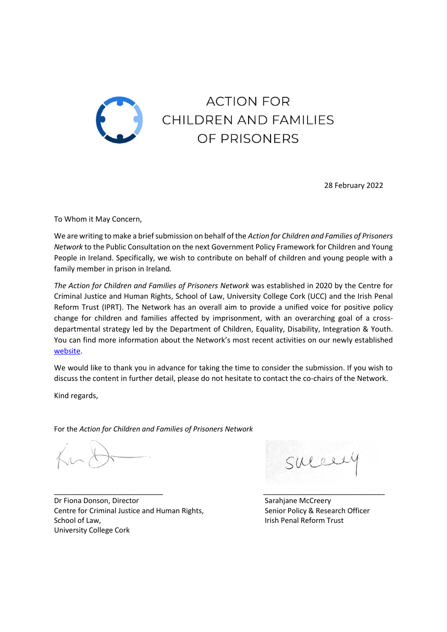

28 February 2022

To Whom it May Concern,

We are writing to make a brief submission on behalf of the *Action for Children and Families of Prisoners Network* to the Public Consultation on the next Government Policy Framework for Children and Young People in Ireland. Specifically, we wish to contribute on behalf of children and young people with a family member in prison in Ireland*.*

*The Action for Children and Families of Prisoners Network* was established in 2020 by the Centre for Criminal Justice and Human Rights, School of Law, University College Cork (UCC) and the Irish Penal Reform Trust (IPRT). The Network has an overall aim to provide a unified voice for positive policy change for children and families affected by imprisonment, with an overarching goal of a crossdepartmental strategy led by the Department of Children, Equality, Disability, Integration & Youth. You can find more information about the Network's most recent activities on our newly established [website.](https://www.actionforfamilies.ie/)

We would like to thank you in advance for taking the time to consider the submission. If you wish to discuss the content in further detail, please do not hesitate to contact the co-chairs of the Network.

Kind regards,

For the *Action for Children and Families of Prisoners Network*

\_\_\_\_\_\_\_\_\_\_\_\_\_\_\_\_\_\_\_\_\_\_\_\_\_\_ \_\_\_\_\_\_\_\_\_\_\_\_\_\_\_\_\_\_\_\_\_\_\_\_\_\_\_\_\_ Dr Fiona Donson, Director Sarahjane McCreery Centre for Criminal Justice and Human Rights, Senior Policy & Research Officer School of Law, **Internal Reform Trust School of Law, Irish Penal Reform Trust** University College Cork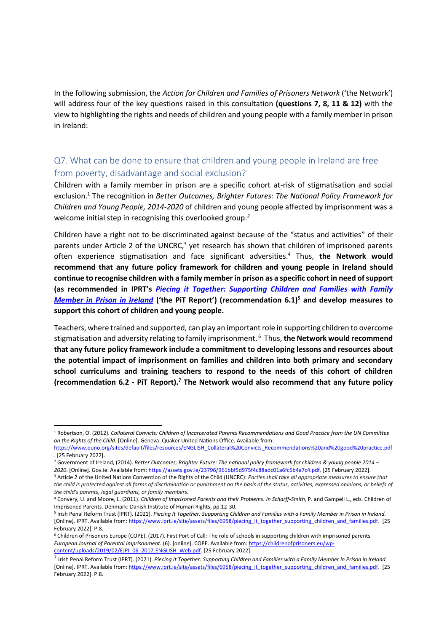In the following submission, the *Action for Children and Families of Prisoners Network* ('the Network') will address four of the key questions raised in this consultation **(questions 7, 8, 11 & 12)** with the view to highlighting the rights and needs of children and young people with a family member in prison in Ireland:

## Q7. What can be done to ensure that children and young people in Ireland are free from poverty, disadvantage and social exclusion?

Children with a family member in prison are a specific cohort at-risk of stigmatisation and social exclusion.<sup>1</sup> The recognition in *Better Outcomes, Brighter Futures: The National Policy Framework for Children and Young People, 2014-2020* of children and young people affected by imprisonment was a welcome initial step in recognising this overlooked group. *2*

Children have a right not to be discriminated against because of the "status and activities" of their parents under Article 2 of the UNCRC,<sup>3</sup> yet research has shown that children of imprisoned parents often experience stigmatisation and face significant adversities. <sup>4</sup> Thus, **the Network would recommend that any future policy framework for children and young people in Ireland should continue to recognise children with a family member in prison as a specific cohort in need of support (as recommended in IPRT's** *[Piecing it Together: Supporting Children and Families with Family](https://www.iprt.ie/site/assets/files/6958/piecing_it_together_supporting_children_and_families.pdf)  [Member in Prison in Ireland](https://www.iprt.ie/site/assets/files/6958/piecing_it_together_supporting_children_and_families.pdf)* **('the PiT Report') (recommendation 6.1)<sup>5</sup> and develop measures to support this cohort of children and young people.**

Teachers, where trained and supported, can play an important role in supporting children to overcome stigmatisation and adversity relating to family imprisonment. <sup>6</sup> Thus, **the Network would recommend that any future policy framework include a commitment to developing lessons and resources about the potential impact of imprisonment on families and children into both primary and secondary school curriculums and training teachers to respond to the needs of this cohort of children (recommendation 6.2 - PiT Report). <sup>7</sup> The Network would also recommend that any future policy** 

<sup>1</sup> Robertson, O. (2012). *Collateral Convicts: Children of Incarcerated Parents Recommendations and Good Practice from the UN Committee on the Rights of the Child.* [Online]. Geneva: Quaker United Nations Office. Available from:

[https://www.quno.org/sites/default/files/resources/ENGLISH\\_Collateral%20Convicts\\_Recommendations%20and%20good%20practice.pdf](https://www.quno.org/sites/default/files/resources/ENGLISH_Collateral%20Convicts_Recommendations%20and%20good%20practice.pdf) . [25 February 2022].

<sup>2</sup> Government of Ireland, (2014). *Better Outcomes, Brighter Future: The national policy framework for children & young people 2014 – 2020*. [Online]. Gov.ie. Available from: [https://assets.gov.ie/23796/961bbf5d975f4c88adc01a6fc5b4a7c4.pdf.](https://assets.gov.ie/23796/961bbf5d975f4c88adc01a6fc5b4a7c4.pdf) [25 February 2022].

<sup>3</sup> Article 2 of the United Nations Convention of the Rights of the Child (UNCRC): *Parties shall take all appropriate measures to ensure that the child is protected against all forms of discrimination or punishment on the basis of the status, activities, expressed opinions, or beliefs of the child's parents, legal guardians, or family members.*

<sup>4</sup> Convery, U. and Moore, L. (2011). *Children of Imprisoned Parents and their Problems. In Scharff-Smith*, P. and Gampell L., eds. Children of Imprisoned Parents. Denmark: Danish Institute of Human Rights, pp.12-30.

<sup>5</sup> Irish Penal Reform Trust (IPRT). (2021). *Piecing It Together: Supporting Children and Families with a Family Member in Prison in Ireland.* [Online]. IPRT. Available from[: https://www.iprt.ie/site/assets/files/6958/piecing\\_it\\_together\\_supporting\\_children\\_and\\_families.pdf.](https://www.iprt.ie/site/assets/files/6958/piecing_it_together_supporting_children_and_families.pdf) [25 February 2022]. P.8.

<sup>6</sup> Children of Prisoners Europe (COPE). (2017). First Port of Call: The role of schools in supporting children with imprisoned parents*. European Journal of Parental Imprisonment.* (6). [online]. COPE. Available from[: https://childrenofprisoners.eu/wp](https://childrenofprisoners.eu/wp-content/uploads/2019/02/EJPI_06_2017-ENGLISH_Web.pdf)[content/uploads/2019/02/EJPI\\_06\\_2017-ENGLISH\\_Web.pdf.](https://childrenofprisoners.eu/wp-content/uploads/2019/02/EJPI_06_2017-ENGLISH_Web.pdf) [25 February 2022].

<sup>7</sup> Irish Penal Reform Trust (IPRT). (2021). *Piecing It Together: Supporting Children and Families with a Family Member in Prison in Ireland.* [Online]. IPRT. Available from[: https://www.iprt.ie/site/assets/files/6958/piecing\\_it\\_together\\_supporting\\_children\\_and\\_families.pdf.](https://www.iprt.ie/site/assets/files/6958/piecing_it_together_supporting_children_and_families.pdf) [25 February 2022]. P.8.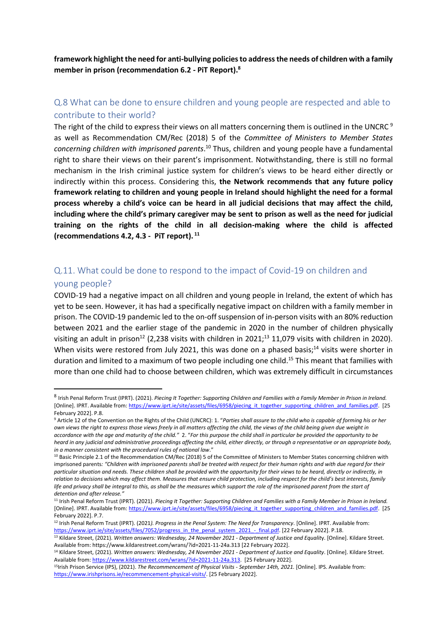**framework highlight the need for anti-bullying policies to address the needs of children with a family member in prison (recommendation 6.2 - PiT Report).<sup>8</sup>**

## Q.8 What can be done to ensure children and young people are respected and able to contribute to their world?

The right of the child to express their views on all matters concerning them is outlined in the UNCRC<sup>9</sup> as well as Recommendation CM/Rec (2018) 5 of the *Committee of Ministers to Member States*  concerning children with imprisoned parents.<sup>10</sup> Thus, children and young people have a fundamental right to share their views on their parent's imprisonment. Notwithstanding, there is still no formal mechanism in the Irish criminal justice system for children's views to be heard either directly or indirectly within this process. Considering this, **the Network recommends that any future policy framework relating to children and young people in Ireland should highlight the need for a formal process whereby a child's voice can be heard in all judicial decisions that may affect the child, including where the child's primary caregiver may be sent to prison as well as the need for judicial training on the rights of the child in all decision-making where the child is affected (recommendations 4.2, 4.3 - PiT report). <sup>11</sup>**

## Q.11. What could be done to respond to the impact of Covid-19 on children and young people?

COVID-19 had a negative impact on all children and young people in Ireland, the extent of which has yet to be seen. However, it has had a specifically negative impact on children with a family member in prison. The COVID-19 pandemic led to the on-off suspension of in-person visits with an 80% reduction between 2021 and the earlier stage of the pandemic in 2020 in the number of children physically visiting an adult in prison<sup>12</sup> (2,238 visits with children in 2021;<sup>13</sup> 11,079 visits with children in 2020). When visits were restored from July 2021, this was done on a phased basis;<sup>14</sup> visits were shorter in duration and limited to a maximum of two people including one child. <sup>15</sup> This meant that families with more than one child had to choose between children, which was extremely difficult in circumstances

<sup>12</sup> Irish Penal Reform Trust (IPRT). (2021*). Progress in the Penal System: The Need for Transparency*. [Online]. IPRT. Available from: [https://www.iprt.ie/site/assets/files/7052/progress\\_in\\_the\\_penal\\_system\\_2021\\_-\\_final.pdf.](https://www.iprt.ie/site/assets/files/7052/progress_in_the_penal_system_2021_-_final.pdf) [22 February 2022]. P.18.

<sup>8</sup> Irish Penal Reform Trust (IPRT). (2021). *Piecing It Together: Supporting Children and Families with a Family Member in Prison in Ireland.* [Online]. IPRT. Available from[: https://www.iprt.ie/site/assets/files/6958/piecing\\_it\\_together\\_supporting\\_children\\_and\\_families.pdf.](https://www.iprt.ie/site/assets/files/6958/piecing_it_together_supporting_children_and_families.pdf) [25 February 2022]. P.8.

<sup>9</sup> Article 12 of the Convention on the Rights of the Child (UNCRC): 1. "*Parties shall assure to the child who is capable of forming his or her own views the right to express those views freely in all matters affecting the child, the views of the child being given due weight in accordance with the age and maturity of the child."* 2. "*For this purpose the child shall in particular be provided the opportunity to be heard in any judicial and administrative proceedings affecting the child, either directly, or through a representative or an appropriate body, in a manner consistent with the procedural rules of national law*."

<sup>10</sup> Basic Principle 2.1 of the Recommendation CM/Rec (2018) 5 of the Committee of Ministers to Member States concerning children with imprisoned parents*: "Children with imprisoned parents shall be treated with respect for their human rights and with due regard for their particular situation and needs. These children shall be provided with the opportunity for their views to be heard, directly or indirectly, in relation to decisions which may affect them. Measures that ensure child protection, including respect for the child's best interests, family*  life and privacy shall be integral to this, as shall be the measures which support the role of the imprisoned parent from the start of *detention and after release."*

<sup>11</sup> Irish Penal Reform Trust (IPRT). (2021). *Piecing It Together: Supporting Children and Families with a Family Member in Prison in Ireland.* [Online]. IPRT. Available from[: https://www.iprt.ie/site/assets/files/6958/piecing\\_it\\_together\\_supporting\\_children\\_and\\_families.pdf.](https://www.iprt.ie/site/assets/files/6958/piecing_it_together_supporting_children_and_families.pdf) [25 February 2022]. P.7.

<sup>13</sup> Kildare Street, (2021). *Written answers: Wednesday, 24 November 2021 - Department of Justice and Equalit*y. [Online]. Kildare Street. Available from: https://www.kildarestreet.com/wrans/?id=2021-11-24a.313 [22 February 2022].

<sup>14</sup> Kildare Street, (2021). *Written answers: Wednesday, 24 November 2021 - Department of Justice and Equality*. [Online]. Kildare Street. Available from[: https://www.kildarestreet.com/wrans/?id=2021-11-24a.313.](https://www.kildarestreet.com/wrans/?id=2021-11-24a.313) [25 February 2022].

<sup>15</sup>Irish Prison Service (IPS), (2021). *The Recommencement of Physical Visits - September 14th, 2021.* [Online]. IPS. Available from: [https://www.irishprisons.ie/recommencement-physical-visits/.](https://www.irishprisons.ie/recommencement-physical-visits/) [25 February 2022].